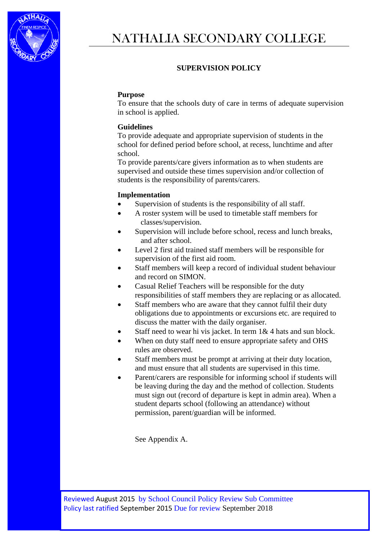

## **SUPERVISION POLICY**

## **Purpose**

To ensure that the schools duty of care in terms of adequate supervision in school is applied.

## **Guidelines**

To provide adequate and appropriate supervision of students in the school for defined period before school, at recess, lunchtime and after school.

To provide parents/care givers information as to when students are supervised and outside these times supervision and/or collection of students is the responsibility of parents/carers.

## **Implementation**

- Supervision of students is the responsibility of all staff.
- A roster system will be used to timetable staff members for classes/supervision.
- Supervision will include before school, recess and lunch breaks, and after school.
- Level 2 first aid trained staff members will be responsible for supervision of the first aid room.
- Staff members will keep a record of individual student behaviour and record on SIMON.
- Casual Relief Teachers will be responsible for the duty responsibilities of staff members they are replacing or as allocated.
- Staff members who are aware that they cannot fulfil their duty obligations due to appointments or excursions etc. are required to discuss the matter with the daily organiser.
- Staff need to wear hi vis jacket. In term  $1& 4$  hats and sun block.
- When on duty staff need to ensure appropriate safety and OHS rules are observed.
- Staff members must be prompt at arriving at their duty location, and must ensure that all students are supervised in this time.
- Parent/carers are responsible for informing school if students will be leaving during the day and the method of collection. Students must sign out (record of departure is kept in admin area). When a student departs school (following an attendance) without permission, parent/guardian will be informed.

See Appendix A.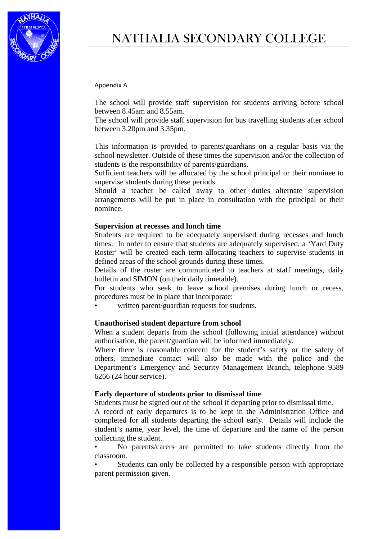

# NATHALIA SECONDARY COLLEGE

#### Appendix A

The school will provide staff supervision for students arriving before school between 8.45am and 8.55am.

The school will provide staff supervision for bus travelling students after school between 3.20pm and 3.35pm.

This information is provided to parents/guardians on a regular basis via the school newsletter. Outside of these times the supervision and/or the collection of students is the responsibility of parents/guardians.

Sufficient teachers will be allocated by the school principal or their nominee to supervise students during these periods

Should a teacher be called away to other duties alternate supervision arrangements will be put in place in consultation with the principal or their nominee.

#### **Supervision at recesses and lunch time**

Students are required to be adequately supervised during recesses and lunch times. In order to ensure that students are adequately supervised, a 'Yard Duty Roster' will be created each term allocating teachers to supervise students in defined areas of the school grounds during these times.

Details of the roster are communicated to teachers at staff meetings, daily bulletin and SIMON (on their daily timetable).

For students who seek to leave school premises during lunch or recess, procedures must be in place that incorporate:

written parent/guardian requests for students.

#### **Unauthorised student departure from school**

When a student departs from the school (following initial attendance) without authorisation, the parent/guardian will be informed immediately.

Where there is reasonable concern for the student's safety or the safety of others, immediate contact will also be made with the police and the Department's Emergency and Security Management Branch, telephone 9589 6266 (24 hour service).

#### **Early departure of students prior to dismissal time**

Students must be signed out of the school if departing prior to dismissal time.

A record of early departures is to be kept in the Administration Office and completed for all students departing the school early. Details will include the student's name, year level, the time of departure and the name of the person collecting the student.

• No parents/carers are permitted to take students directly from the classroom.

Students can only be collected by a responsible person with appropriate parent permission given.